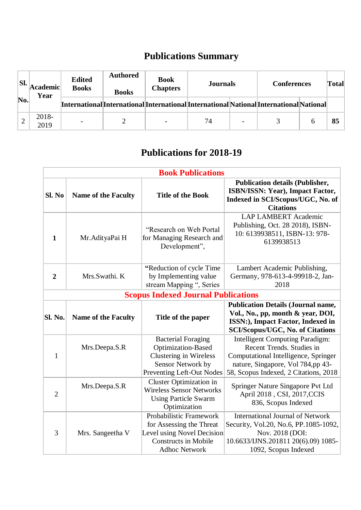## **Publications Summary**

| SI. | Academic <br>Year | <b>Edited</b><br><b>Books</b> | <b>Authored</b><br><b>Books</b> | <b>Book</b><br><b>Chapters</b> | <b>Journals</b>                                                                         |                          | <b>Conferences</b> | <b>Total</b> |
|-----|-------------------|-------------------------------|---------------------------------|--------------------------------|-----------------------------------------------------------------------------------------|--------------------------|--------------------|--------------|
| No. |                   |                               |                                 |                                | [International]International]International]International]National]InternationalNational |                          |                    |              |
|     | 2018-<br>2019     |                               |                                 |                                | 74                                                                                      | $\overline{\phantom{0}}$ |                    | 85           |

## **Publications for 2018-19**

| <b>Book Publications</b> |                            |                                                                                                                                          |                                                                                                                                                                                           |  |
|--------------------------|----------------------------|------------------------------------------------------------------------------------------------------------------------------------------|-------------------------------------------------------------------------------------------------------------------------------------------------------------------------------------------|--|
| Sl. No                   | <b>Name of the Faculty</b> | <b>Title of the Book</b>                                                                                                                 | <b>Publication details (Publisher,</b><br><b>ISBN/ISSN: Year), Impact Factor,</b><br>Indexed in SCI/Scopus/UGC, No. of<br><b>Citations</b>                                                |  |
| 1                        | Mr. AdityaPai H            | "Research on Web Portal<br>for Managing Research and<br>Development",                                                                    | <b>LAP LAMBERT Academic</b><br>Publishing, Oct. 28 2018), ISBN-<br>10: 6139938511, ISBN-13: 978-<br>6139938513                                                                            |  |
| $\overline{2}$           | Mrs.Swathi. K              | "Reduction of cycle Time"<br>by Implementing value<br>stream Mapping ", Series                                                           | Lambert Academic Publishing,<br>Germany, 978-613-4-99918-2, Jan-<br>2018                                                                                                                  |  |
|                          |                            | <b>Scopus Indexed Journal Publications</b>                                                                                               |                                                                                                                                                                                           |  |
| Sl. No.                  | <b>Name of the Faculty</b> | Title of the paper                                                                                                                       | <b>Publication Details (Journal name,</b><br>Vol., No., pp, month & year, DOI,<br>ISSN:), Impact Factor, Indexed in<br><b>SCI/Scopus/UGC, No. of Citations</b>                            |  |
| $\mathbf{1}$             | Mrs.Deepa.S.R              | <b>Bacterial Foraging</b><br>Optimization-Based<br><b>Clustering in Wireless</b><br>Sensor Network by<br>Preventing Left-Out Nodes       | <b>Intelligent Computing Paradigm:</b><br>Recent Trends. Studies in<br>Computational Intelligence, Springer<br>nature, Singapore, Vol 784,pp 43-<br>58, Scopus Indexed, 2 Citations, 2018 |  |
| $\overline{2}$           | Mrs.Deepa.S.R              | <b>Cluster Optimization in</b><br><b>Wireless Sensor Networks</b><br><b>Using Particle Swarm</b><br>Optimization                         | Springer Nature Singapore Pvt Ltd<br>April 2018, CSI, 2017, CCIS<br>836, Scopus Indexed                                                                                                   |  |
| 3                        | Mrs. Sangeetha V           | Probabilistic Framework<br>for Assessing the Threat<br>Level using Novel Decision<br><b>Constructs in Mobile</b><br><b>Adhoc Network</b> | <b>International Journal of Network</b><br>Security, Vol.20, No.6, PP.1085-1092,<br>Nov. 2018 (DOI:<br>10.6633/IJNS.201811 20(6).09) 1085-<br>1092, Scopus Indexed                        |  |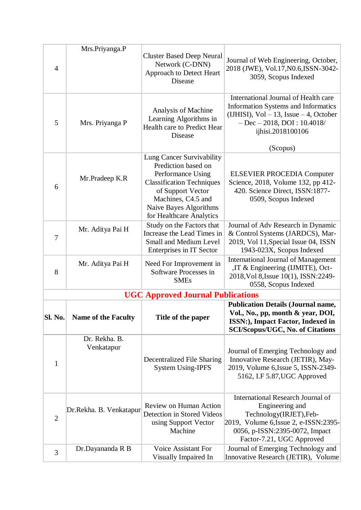|                | Mrs.Priyanga.P              |                                                                                                                                                                                                            |                                                                                                                                                                                           |
|----------------|-----------------------------|------------------------------------------------------------------------------------------------------------------------------------------------------------------------------------------------------------|-------------------------------------------------------------------------------------------------------------------------------------------------------------------------------------------|
| $\overline{4}$ |                             | <b>Cluster Based Deep Neural</b><br>Network (C-DNN)<br>Approach to Detect Heart<br><b>Disease</b>                                                                                                          | Journal of Web Engineering, October,<br>2018 (JWE), Vol.17, N0.6, ISSN-3042-<br>3059, Scopus Indexed                                                                                      |
| 5              | Mrs. Priyanga P             | Analysis of Machine<br>Learning Algorithms in<br>Health care to Predict Hear<br>Disease                                                                                                                    | International Journal of Health care<br><b>Information Systems and Informatics</b><br>(IJHISI), $Vol - 13$ , Issue $-4$ , October<br>$-$ Dec $-$ 2018, DOI: 10.4018/<br>ijhisi.2018100106 |
|                |                             |                                                                                                                                                                                                            | (Scopus)                                                                                                                                                                                  |
| 6              | Mr.Pradeep K.R              | Lung Cancer Survivability<br>Prediction based on<br>Performance Using<br><b>Classification Techniques</b><br>of Support Vector<br>Machines, C4.5 and<br>Naive Bayes Algorithms<br>for Healthcare Analytics | <b>ELSEVIER PROCEDIA Computer</b><br>Science, 2018, Volume 132, pp 412-<br>420. Science Direct, ISSN:1877-<br>0509, Scopus Indexed                                                        |
| 7              | Mr. Aditya Pai H            | Study on the Factors that<br>Increase the Lead Times in<br><b>Small and Medium Level</b><br>Enterprises in IT Sector                                                                                       | Journal of Adv Research in Dynamic<br>& Control Systems (JARDCS), Mar-<br>2019, Vol 11, Special Issue 04, ISSN<br>1943-023X, Scopus Indexed                                               |
| 8              | Mr. Aditya Pai H            | Need For Improvement in<br>Software Processes in<br><b>SMEs</b>                                                                                                                                            | <b>International Journal of Management</b><br>,IT & Engineering (IJMITE), Oct-<br>2018, Vol 8, Issue 10(1), ISSN: 2249-<br>0558, Scopus Indexed                                           |
|                |                             | <b>UGC Approved Journal Publications</b>                                                                                                                                                                   |                                                                                                                                                                                           |
| <b>Sl. No.</b> | <b>Name of the Faculty</b>  | Title of the paper                                                                                                                                                                                         | <b>Publication Details (Journal name,</b><br>Vol., No., pp, month & year, DOI,<br><b>ISSN:</b> ), Impact Factor, Indexed in<br><b>SCI/Scopus/UGC, No. of Citations</b>                    |
| $\mathbf{1}$   | Dr. Rekha. B.<br>Venkatapur | <b>Decentralized File Sharing</b><br><b>System Using-IPFS</b>                                                                                                                                              | Journal of Emerging Technology and<br>Innovative Research (JETIR), May-<br>2019, Volume 6, Issue 5, ISSN-2349-<br>5162, I.F 5.87, UGC Approved                                            |
| $\overline{2}$ | Dr.Rekha. B. Venkatapur     | Review on Human Action<br>Detection in Stored Videos<br>using Support Vector<br>Machine                                                                                                                    | International Research Journal of<br>Engineering and<br>Technology(IRJET), Feb-<br>2019, Volume 6, Issue 2, e-ISSN: 2395-<br>0056, p-ISSN:2395-0072, Impact<br>Factor-7.21, UGC Approved  |
| 3              | Dr.Dayananda R B            | <b>Voice Assistant For</b><br>Visually Impaired In                                                                                                                                                         | Journal of Emerging Technology and<br>Innovative Research (JETIR), Volume                                                                                                                 |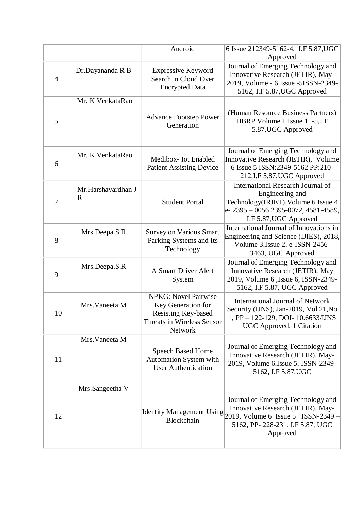|                |                                   | Android                                                                                                                  | 6 Issue 212349-5162-4, I.F 5.87, UGC<br>Approved                                                                                                                                        |
|----------------|-----------------------------------|--------------------------------------------------------------------------------------------------------------------------|-----------------------------------------------------------------------------------------------------------------------------------------------------------------------------------------|
| $\overline{4}$ | Dr.Dayananda R B                  | <b>Expressive Keyword</b><br>Search in Cloud Over<br><b>Encrypted Data</b>                                               | Journal of Emerging Technology and<br>Innovative Research (JETIR), May-<br>2019, Volume - 6, Issue - 5ISSN-2349-<br>5162, I.F 5.87, UGC Approved                                        |
| 5              | Mr. K VenkataRao                  | <b>Advance Footstep Power</b><br>Generation                                                                              | (Human Resource Business Partners)<br>HBRP Volume 1 Issue 11-5, I.F<br>5.87, UGC Approved                                                                                               |
| 6              | Mr. K VenkataRao                  | Medibox- Iot Enabled<br><b>Patient Assisting Device</b>                                                                  | Journal of Emerging Technology and<br>Innovative Research (JETIR), Volume<br>6 Issue 5 ISSN:2349-5162 PP:210-<br>212, I.F 5.87, UGC Approved                                            |
| 7              | Mr.Harshavardhan J<br>$\mathbf R$ | <b>Student Portal</b>                                                                                                    | <b>International Research Journal of</b><br>Engineering and<br>Technology(IRJET), Volume 6 Issue 4<br>e-2395 - 0056 2395-0072, 4581-4589,<br>I.F 5.87, UGC Approved                     |
| 8              | Mrs.Deepa.S.R                     | <b>Survey on Various Smart</b><br>Parking Systems and Its<br>Technology                                                  | International Journal of Innovations in<br>Engineering and Science (IJIES), 2018,<br>Volume 3, Issue 2, e-ISSN-2456-<br>3463, UGC Approved                                              |
| 9              | Mrs.Deepa.S.R                     | A Smart Driver Alert<br>System                                                                                           | Journal of Emerging Technology and<br>Innovative Research (JETIR), May<br>2019, Volume 6, Issue 6, ISSN-2349-<br>5162, I.F 5.87, UGC Approved                                           |
| 10             | Mrs. Vaneeta M                    | <b>NPKG: Novel Pairwise</b><br>Key Generation for<br>Resisting Key-based<br><b>Threats in Wireless Sensor</b><br>Network | <b>International Journal of Network</b><br>Security (IJNS), Jan-2019, Vol 21, No<br>1, PP - 122-129, DOI- 10.6633/IJNS<br>UGC Approved, 1 Citation                                      |
| 11             | Mrs. Vaneeta M                    | <b>Speech Based Home</b><br>Automation System with<br><b>User Authentication</b>                                         | Journal of Emerging Technology and<br>Innovative Research (JETIR), May-<br>2019, Volume 6, Issue 5, ISSN-2349-<br>5162, I.F 5.87, UGC                                                   |
| 12             | Mrs.Sangeetha V                   | Blockchain                                                                                                               | Journal of Emerging Technology and<br>Innovative Research (JETIR), May-<br>Identity Management Using $2019$ , Volume 6 Issue 5 ISSN-2349<br>5162, PP-228-231, I.F 5.87, UGC<br>Approved |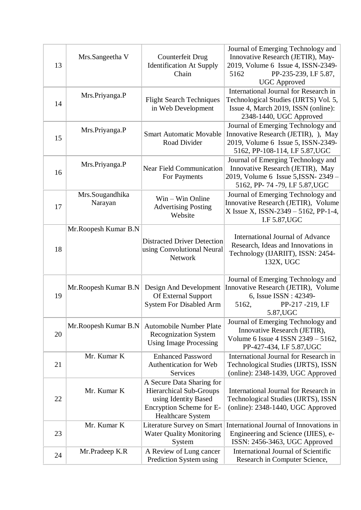| 13 | Mrs.Sangeetha V            | Counterfeit Drug<br><b>Identification At Supply</b><br>Chain                                                                                | Journal of Emerging Technology and<br>Innovative Research (JETIR), May-<br>2019, Volume 6 Issue 4, ISSN-2349-<br>PP-235-239, I.F 5.87,<br>5162<br><b>UGC</b> Approved |
|----|----------------------------|---------------------------------------------------------------------------------------------------------------------------------------------|-----------------------------------------------------------------------------------------------------------------------------------------------------------------------|
| 14 | Mrs.Priyanga.P             | <b>Flight Search Techniques</b><br>in Web Development                                                                                       | International Journal for Research in<br>Technological Studies (IJRTS) Vol. 5,<br>Issue 4, March 2019, ISSN (online):<br>2348-1440, UGC Approved                      |
| 15 | Mrs.Priyanga.P             | <b>Smart Automatic Movable</b><br>Road Divider                                                                                              | Journal of Emerging Technology and<br>Innovative Research (JETIR), ), May<br>2019, Volume 6 Issue 5, ISSN-2349-<br>5162, PP-108-114, I.F 5.87, UGC                    |
| 16 | Mrs.Priyanga.P             | <b>Near Field Communication</b><br>For Payments                                                                                             | Journal of Emerging Technology and<br>Innovative Research (JETIR), May<br>2019, Volume 6 Issue 5, ISSN-2349 -<br>5162, PP-74-79, I.F 5.87, UGC                        |
| 17 | Mrs.Sougandhika<br>Narayan | Win – Win Online<br><b>Advertising Posting</b><br>Website                                                                                   | Journal of Emerging Technology and<br>Innovative Research (JETIR), Volume<br>X Issue X, ISSN-2349 - 5162, PP-1-4,<br>I.F 5.87, UGC                                    |
| 18 | Mr. Roopesh Kumar B.N      | <b>Distracted Driver Detection</b><br>using Convolutional Neural<br>Network                                                                 | <b>International Journal of Advance</b><br>Research, Ideas and Innovations in<br>Technology (IJARIIT), ISSN: 2454-<br>132X, UGC                                       |
| 19 | Mr. Roopesh Kumar B.N      | Design And Development<br>Of External Support<br>System For Disabled Arm                                                                    | Journal of Emerging Technology and<br>Innovative Research (JETIR), Volume<br>6, Issue ISSN : 42349-<br>5162,<br>PP-217-219, I.F<br>5.87, UGC                          |
| 20 | Mr. Roopesh Kumar B.N      | <b>Automobile Number Plate</b><br><b>Recognization System</b><br><b>Using Image Processing</b>                                              | Journal of Emerging Technology and<br>Innovative Research (JETIR),<br>Volume 6 Issue 4 ISSN 2349 - 5162,<br>PP-427-434, I.F 5.87, UGC                                 |
| 21 | Mr. Kumar K                | <b>Enhanced Password</b><br>Authentication for Web<br>Services                                                                              | International Journal for Research in<br>Technological Studies (IJRTS), ISSN<br>(online): 2348-1439, UGC Approved                                                     |
| 22 | Mr. Kumar K                | A Secure Data Sharing for<br><b>Hierarchical Sub-Groups</b><br>using Identity Based<br>Encryption Scheme for E-<br><b>Healthcare System</b> | International Journal for Research in<br>Technological Studies (IJRTS), ISSN<br>(online): 2348-1440, UGC Approved                                                     |
| 23 | Mr. Kumar K                | <b>Literature Survey on Smart</b><br><b>Water Quality Monitoring</b><br>System                                                              | International Journal of Innovations in<br>Engineering and Science (IJIES), e-<br>ISSN: 2456-3463, UGC Approved                                                       |
| 24 | Mr.Pradeep K.R             | A Review of Lung cancer<br>Prediction System using                                                                                          | <b>International Journal of Scientific</b><br>Research in Computer Science,                                                                                           |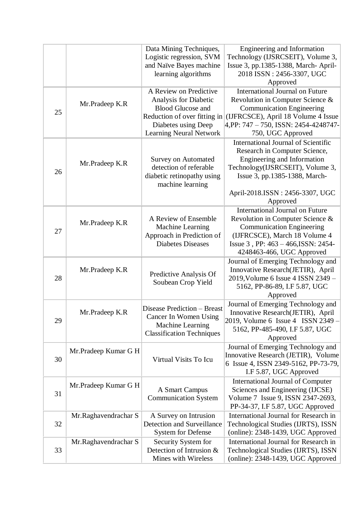|    |                      | Data Mining Techniques,                               | Engineering and Information                                               |
|----|----------------------|-------------------------------------------------------|---------------------------------------------------------------------------|
|    |                      | Logistic regression, SVM                              | Technology (IJSRCSEIT), Volume 3,                                         |
|    |                      | and Naïve Bayes machine<br>learning algorithms        | Issue 3, pp.1385-1388, March-April-<br>2018 ISSN: 2456-3307, UGC          |
|    |                      |                                                       | Approved                                                                  |
|    |                      | A Review on Predictive                                | <b>International Journal on Future</b>                                    |
|    |                      | Analysis for Diabetic                                 | Revolution in Computer Science &                                          |
| 25 | Mr.Pradeep K.R       | <b>Blood Glucose and</b>                              | <b>Communication Engineering</b>                                          |
|    |                      | Reduction of over fitting in                          | (IJFRCSCE), April 18 Volume 4 Issue                                       |
|    |                      | Diabetes using Deep                                   | 4,PP: 747 – 750, ISSN: 2454-4248747-                                      |
|    |                      | <b>Learning Neural Network</b>                        | 750, UGC Approved                                                         |
|    |                      |                                                       | <b>International Journal of Scientific</b>                                |
|    |                      |                                                       | Research in Computer Science,                                             |
|    | Mr.Pradeep K.R       | <b>Survey on Automated</b><br>detection of referable  | Engineering and Information<br>Technology(IJSRCSEIT), Volume 3,           |
| 26 |                      | diabetic retinopathy using                            | Issue 3, pp.1385-1388, March-                                             |
|    |                      | machine learning                                      |                                                                           |
|    |                      |                                                       | April-2018.ISSN: 2456-3307, UGC                                           |
|    |                      |                                                       | Approved                                                                  |
|    |                      |                                                       | <b>International Journal on Future</b>                                    |
|    | Mr.Pradeep K.R       | A Review of Ensemble                                  | Revolution in Computer Science &                                          |
| 27 |                      | Machine Learning                                      | <b>Communication Engineering</b>                                          |
|    |                      | Approach in Prediction of<br><b>Diabetes Diseases</b> | (IJFRCSCE), March 18 Volume 4                                             |
|    |                      |                                                       | Issue 3, PP: 463 - 466, ISSN: 2454-<br>4248463-466, UGC Approved          |
|    |                      |                                                       | Journal of Emerging Technology and                                        |
|    | Mr.Pradeep K.R       |                                                       | Innovative Research(JETIR), April                                         |
| 28 |                      | Predictive Analysis Of                                | 2019, Volume 6 Issue 4 ISSN 2349 -                                        |
|    |                      | Soubean Crop Yield                                    | 5162, PP-86-89, I.F 5.87, UGC                                             |
|    |                      |                                                       | Approved                                                                  |
|    |                      | Disease Prediction - Breast                           | Journal of Emerging Technology and                                        |
|    | Mr.Pradeep K.R       | Cancer In Women Using                                 | Innovative Research(JETIR), April                                         |
| 29 |                      | Machine Learning                                      | 2019, Volume 6 Issue 4 ISSN 2349 -<br>5162, PP-485-490, I.F 5.87, UGC     |
|    |                      | <b>Classification Techniques</b>                      | Approved                                                                  |
|    |                      |                                                       | Journal of Emerging Technology and                                        |
|    | Mr.Pradeep Kumar G H |                                                       | Innovative Research (JETIR), Volume                                       |
| 30 |                      | Virtual Visits To Icu                                 | 6 Issue 4, ISSN 2349-5162, PP-73-79,                                      |
|    |                      |                                                       | I.F 5.87, UGC Approved                                                    |
|    | Mr.Pradeep Kumar G H |                                                       | <b>International Journal of Computer</b>                                  |
| 31 |                      | A Smart Campus                                        | Sciences and Engineering (IJCSE)                                          |
|    |                      | <b>Communication System</b>                           | Volume 7 Issue 9, ISSN 2347-2693,                                         |
|    | Mr.Raghavendrachar S | A Survey on Intrusion                                 | PP-34-37, I.F 5.87, UGC Approved<br>International Journal for Research in |
| 32 |                      | <b>Detection and Surveillance</b>                     | Technological Studies (IJRTS), ISSN                                       |
|    |                      | <b>System for Defense</b>                             | (online): 2348-1439, UGC Approved                                         |
|    | Mr.Raghavendrachar S | Security System for                                   | International Journal for Research in                                     |
| 33 |                      | Detection of Intrusion &                              | Technological Studies (IJRTS), ISSN                                       |
|    |                      | Mines with Wireless                                   | (online): 2348-1439, UGC Approved                                         |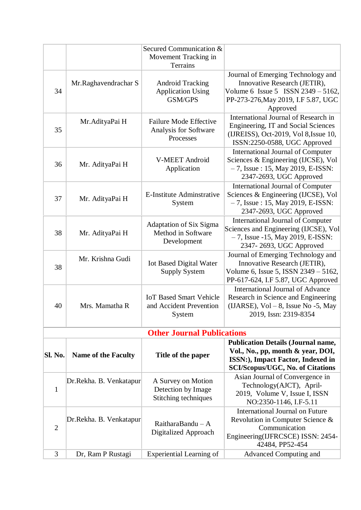|                |                            | Secured Communication &                       |                                                                              |
|----------------|----------------------------|-----------------------------------------------|------------------------------------------------------------------------------|
|                |                            | Movement Tracking in                          |                                                                              |
|                |                            | Terrains                                      |                                                                              |
|                |                            |                                               | Journal of Emerging Technology and                                           |
|                | Mr.Raghavendrachar S       | <b>Android Tracking</b>                       | Innovative Research (JETIR),                                                 |
| 34             |                            | <b>Application Using</b><br>GSM/GPS           | Volume 6 Issue 5 ISSN $2349 - 5162$ ,<br>PP-273-276, May 2019, I.F 5.87, UGC |
|                |                            |                                               | Approved                                                                     |
|                |                            |                                               | International Journal of Research in                                         |
|                | Mr. AdityaPai H            | <b>Failure Mode Effective</b>                 | Engineering, IT and Social Sciences                                          |
| 35             |                            | Analysis for Software                         | (IJREISS), Oct-2019, Vol 8, Issue 10,                                        |
|                |                            | Processes                                     | ISSN:2250-0588, UGC Approved                                                 |
|                |                            |                                               | <b>International Journal of Computer</b>                                     |
| 36             | Mr. AdityaPai H            | <b>V-MEET Android</b>                         | Sciences & Engineering (IJCSE), Vol                                          |
|                |                            | Application                                   | $-7$ , Issue: 15, May 2019, E-ISSN:                                          |
|                |                            |                                               | 2347-2693, UGC Approved                                                      |
|                |                            |                                               | <b>International Journal of Computer</b>                                     |
| 37             | Mr. AdityaPai H            | E-Institute Adminstrative<br>System           | Sciences & Engineering (IJCSE), Vol<br>$-7$ , Issue: 15, May 2019, E-ISSN:   |
|                |                            |                                               | 2347-2693, UGC Approved                                                      |
|                |                            |                                               | <b>International Journal of Computer</b>                                     |
| 38             |                            | Adaptation of Six Sigma<br>Method in Software | Sciences and Engineering (IJCSE), Vol                                        |
|                | Mr. AdityaPai H            | Development                                   | $-7$ , Issue -15, May 2019, E-ISSN:                                          |
|                |                            |                                               | 2347-2693, UGC Approved                                                      |
|                | Mr. Krishna Gudi           |                                               | Journal of Emerging Technology and                                           |
| 38             |                            | <b>Iot Based Digital Water</b>                | Innovative Research (JETIR),                                                 |
|                |                            | <b>Supply System</b>                          | Volume 6, Issue 5, ISSN 2349 - 5162,<br>PP-617-624, I.F 5.87, UGC Approved   |
|                |                            |                                               | <b>International Journal of Advance</b>                                      |
|                |                            | <b>IoT Based Smart Vehicle</b>                | Research in Science and Engineering                                          |
| 40             | Mrs. Mamatha R             | and Accident Prevention                       | (IJARSE), $Vol-8$ , Issue No -5, May                                         |
|                |                            | System                                        | 2019, Issn: 2319-8354                                                        |
|                |                            |                                               |                                                                              |
|                |                            | <b>Other Journal Publications</b>             |                                                                              |
|                |                            |                                               | <b>Publication Details (Journal name,</b>                                    |
| Sl. No.        | <b>Name of the Faculty</b> | Title of the paper                            | Vol., No., pp, month & year, DOI,                                            |
|                |                            |                                               | ISSN:), Impact Factor, Indexed in<br><b>SCI/Scopus/UGC, No. of Citations</b> |
|                |                            |                                               | Asian Journal of Convergence in                                              |
|                | Dr.Rekha. B. Venkatapur    | A Survey on Motion                            | Technology(AJCT), April-                                                     |
| $\mathbf{1}$   |                            | Detection by Image<br>Stitching techniques    | 2019, Volume V, Issue I, ISSN                                                |
|                |                            |                                               | NO:2350-1146, I.F-5.11                                                       |
|                |                            |                                               | <b>International Journal on Future</b>                                       |
|                | Dr.Rekha. B. Venkatapur    | RaitharaBandu $- A$                           | Revolution in Computer Science &                                             |
| $\overline{2}$ |                            | Digitalized Approach                          | Communication                                                                |
|                |                            |                                               | Engineering(IJFRCSCE) ISSN: 2454-<br>42484, PP52-454                         |
| 3              | Dr, Ram P Rustagi          | <b>Experiential Learning of</b>               | Advanced Computing and                                                       |
|                |                            |                                               |                                                                              |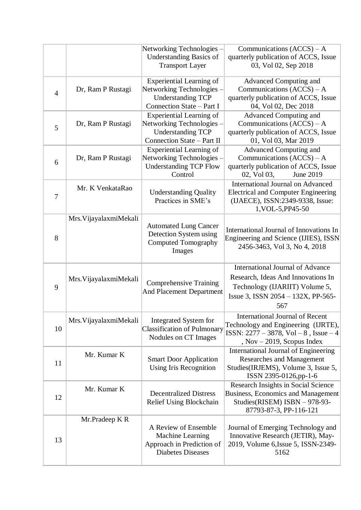|                |                        | Networking Technologies -<br><b>Understanding Basics of</b><br><b>Transport Layer</b>                                  | Communications $(ACCS) - A$<br>quarterly publication of ACCS, Issue<br>03, Vol 02, Sep 2018                                                                   |
|----------------|------------------------|------------------------------------------------------------------------------------------------------------------------|---------------------------------------------------------------------------------------------------------------------------------------------------------------|
| $\overline{4}$ | Dr, Ram P Rustagi      | <b>Experiential Learning of</b><br>Networking Technologies -<br><b>Understanding TCP</b><br>Connection State - Part I  | Advanced Computing and<br>Communications $(ACCS) - A$<br>quarterly publication of ACCS, Issue<br>04, Vol 02, Dec 2018                                         |
| 5              | Dr, Ram P Rustagi      | <b>Experiential Learning of</b><br>Networking Technologies -<br><b>Understanding TCP</b><br>Connection State - Part II | Advanced Computing and<br>Communications $(ACCS) - A$<br>quarterly publication of ACCS, Issue<br>01, Vol 03, Mar 2019                                         |
| 6              | Dr, Ram P Rustagi      | <b>Experiential Learning of</b><br>Networking Technologies -<br><b>Understanding TCP Flow</b><br>Control               | Advanced Computing and<br>Communications $(ACCS) - A$<br>quarterly publication of ACCS, Issue<br>02, Vol 03,<br>June 2019                                     |
| 7              | Mr. K VenkataRao       | <b>Understanding Quality</b><br>Practices in SME's                                                                     | <b>International Journal on Advanced</b><br><b>Electrical and Computer Engineering</b><br>(IJAECE), ISSN:2349-9338, Issue:<br>1, VOL-5, PP45-50               |
| 8              | Mrs. VijayalaxmiMekali | <b>Automated Lung Cancer</b><br>Detection System using<br><b>Computed Tomography</b><br>Images                         | International Journal of Innovations In<br>Engineering and Science (IJIES), ISSN<br>2456-3463, Vol 3, No 4, 2018                                              |
| 9              | Mrs. VijayalaxmiMekali | <b>Comprehensive Training</b><br>And Placement Department                                                              | <b>International Journal of Advance</b><br>Research, Ideas And Innovations In<br>Technology (IJARIIT) Volume 5,<br>Issue 3, ISSN 2054 - 132X, PP-565-<br>567  |
| 10             | Mrs. VijayalaxmiMekali | Integrated System for<br><b>Classification of Pulmonary</b><br>Nodules on CT Images                                    | <b>International Journal of Recent</b><br>Technology and Engineering (IJRTE),<br>ISSN: $2277 - 3878$ , Vol $-8$ , Issue $-4$<br>, $Nov - 2019$ , Scopus Index |
| 11             | Mr. Kumar K            | <b>Smart Door Application</b><br>Using Iris Recognition                                                                | <b>International Journal of Engineering</b><br>Researches and Management<br>Studies(IRJEMS), Volume 3, Issue 5,<br>ISSN 2395-0126,pp-1-6                      |
| 12             | Mr. Kumar K            | <b>Decentralized Distress</b><br>Relief Using Blockchain                                                               | Research Insights in Social Science<br><b>Business, Economics and Management</b><br>Studies(RISEM) ISBN - 978-93-<br>87793-87-3, PP-116-121                   |
| 13             | Mr.Pradeep K R         | A Review of Ensemble<br>Machine Learning<br>Approach in Prediction of<br><b>Diabetes Diseases</b>                      | Journal of Emerging Technology and<br>Innovative Research (JETIR), May-<br>2019, Volume 6, Issue 5, ISSN-2349-<br>5162                                        |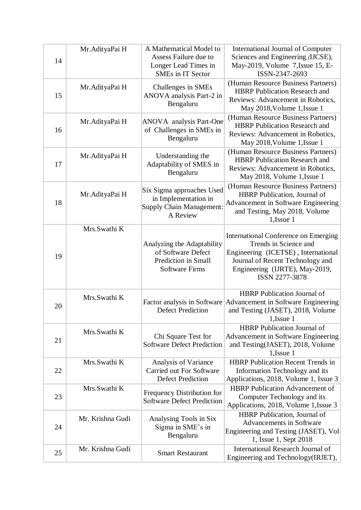| 14 | Mr. AdityaPai H  | A Mathematical Model to<br>Assess Failure due to<br>Longer Lead Times in<br>SMEs in IT Sector    | <b>International Journal of Computer</b><br>Sciences and Engineering (IJCSE),<br>May-2019, Volume 7, Issue 15, E-<br>ISSN-2347-2693                                                                 |
|----|------------------|--------------------------------------------------------------------------------------------------|-----------------------------------------------------------------------------------------------------------------------------------------------------------------------------------------------------|
| 15 | Mr. AdityaPai H  | Challenges in SMEs<br>ANOVA analysis Part-2 in<br>Bengaluru                                      | (Human Resource Business Partners)<br><b>HBRP</b> Publication Research and<br>Reviews: Advancement in Robotics,<br>May 2018, Volume 1, Issue 1                                                      |
| 16 | Mr. AdityaPai H  | <b>ANOVA</b> analysis Part-One<br>of Challenges in SMEs in<br>Bengaluru                          | (Human Resource Business Partners)<br><b>HBRP</b> Publication Research and<br>Reviews: Advancement in Robotics,<br>May 2018, Volume 1, Issue 1                                                      |
| 17 | Mr. AdityaPai H  | Understanding the<br>Adaptability of SMES in<br>Bengaluru                                        | (Human Resource Business Partners)<br><b>HBRP</b> Publication Research and<br>Reviews: Advancement in Robotics,<br>May 2018, Volume 1, Issue 1                                                      |
| 18 | Mr. AdityaPai H  | Six Sigma approaches Used<br>in Implementation in<br>Supply Chain Management:<br>A Review        | (Human Resource Business Partners)<br>HBRP Publication, Journal of<br>Advancement in Software Engineering<br>and Testing, May 2018, Volume<br>1, Issue 1                                            |
| 19 | Mrs.Swathi K     | Analyzing the Adaptability<br>of Software Defect<br>Prediction in Small<br><b>Software Firms</b> | International Conference on Emerging<br>Trends in Science and<br>Engineering (ICETSE), International<br>Journal of Recent Technology and<br>Engineering (IJRTE), May-2019,<br><b>ISSN 2277-3878</b> |
| 20 | Mrs.Swathi K     | <b>Defect Prediction</b>                                                                         | <b>HBRP</b> Publication Journal of<br>Factor analysis in Software Advancement in Software Engineering<br>and Testing (JASET), 2018, Volume<br>1,Issue 1                                             |
| 21 | Mrs.Swathi K     | Chi Square Test for<br><b>Software Defect Prediction</b>                                         | <b>HBRP</b> Publication Journal of<br><b>Advancement in Software Engineering</b><br>and Testing(JASET), 2018, Volume<br>1, Issue 1                                                                  |
| 22 | Mrs.Swathi K     | Analysis of Variance<br>Carried out For Software<br><b>Defect Prediction</b>                     | <b>HBRP</b> Publication Recent Trends in<br>Information Technology and its<br>Applications, 2018, Volume 1, Issue 3                                                                                 |
| 23 | Mrs.Swathi K     | Frequency Distribution for<br><b>Software Defect Prediction</b>                                  | <b>HBRP</b> Publication Advancement of<br>Computer Technology and its<br>Applications, 2018, Volume 1, Issue 3                                                                                      |
| 24 | Mr. Krishna Gudi | Analysing Tools in Six<br>Sigma in SME's in<br>Bengaluru                                         | HBRP Publication, Journal of<br><b>Advancements in Software</b><br>Engineering and Testing (JASET), Vol<br>1, Issue 1, Sept 2018                                                                    |
| 25 | Mr. Krishna Gudi | <b>Smart Restaurant</b>                                                                          | <b>International Research Journal of</b><br>Engineering and Technology (IRJET),                                                                                                                     |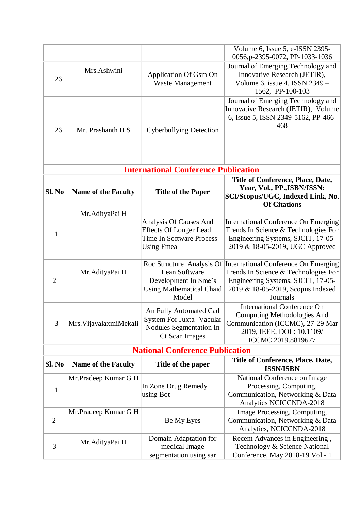|                |                            |                                                                                                                 | Volume 6, Issue 5, e-ISSN 2395-                                                                                                                                                               |
|----------------|----------------------------|-----------------------------------------------------------------------------------------------------------------|-----------------------------------------------------------------------------------------------------------------------------------------------------------------------------------------------|
|                |                            |                                                                                                                 | 0056, p-2395-0072, PP-1033-1036                                                                                                                                                               |
| 26             | Mrs.Ashwini                | Application Of Gsm On<br><b>Waste Management</b>                                                                | Journal of Emerging Technology and<br>Innovative Research (JETIR),<br>Volume 6, issue 4, ISSN $2349 -$<br>1562, PP-100-103                                                                    |
| 26             | Mr. Prashanth H S          | <b>Cyberbullying Detection</b>                                                                                  | Journal of Emerging Technology and<br>Innovative Research (JETIR), Volume<br>6, Issue 5, ISSN 2349-5162, PP-466-<br>468                                                                       |
|                |                            | <b>International Conference Publication</b>                                                                     |                                                                                                                                                                                               |
| Sl. No         | <b>Name of the Faculty</b> | <b>Title of the Paper</b>                                                                                       | Title of Conference, Place, Date,<br>Year, Vol., PP., ISBN/ISSN:<br>SCI/Scopus/UGC, Indexed Link, No.<br><b>Of Citations</b>                                                                  |
| 1              | Mr. AdityaPai H            | Analysis Of Causes And<br><b>Effects Of Longer Lead</b><br><b>Time In Software Process</b><br><b>Using Fmea</b> | <b>International Conference On Emerging</b><br>Trends In Science & Technologies For<br>Engineering Systems, SJCIT, 17-05-<br>2019 & 18-05-2019, UGC Approved                                  |
| $\overline{2}$ | Mr. AdityaPai H            | Lean Software<br>Development In Sme's<br><b>Using Mathematical Chaid</b><br>Model                               | Roc Structure Analysis Of International Conference On Emerging<br>Trends In Science & Technologies For<br>Engineering Systems, SJCIT, 17-05-<br>2019 & 18-05-2019, Scopus Indexed<br>Journals |
| 3              | Mrs. VijayalaxmiMekali     | An Fully Automated Cad<br>System For Juxta- Vacular<br><b>Nodules Segmentation In</b><br><b>Ct Scan Images</b>  | <b>International Conference On</b><br>Computing Methodologies And<br>Communication (ICCMC), 27-29 Mar<br>2019, IEEE, DOI: 10.1109/<br>ICCMC.2019.8819677                                      |
|                |                            | <b>National Conference Publication</b>                                                                          |                                                                                                                                                                                               |
| Sl. No         | <b>Name of the Faculty</b> | Title of the paper                                                                                              | <b>Title of Conference, Place, Date,</b><br><b>ISSN/ISBN</b>                                                                                                                                  |
| $\mathbf{1}$   | Mr.Pradeep Kumar G H       | In Zone Drug Remedy<br>using Bot                                                                                | National Conference on Image<br>Processing, Computing,<br>Communication, Networking & Data<br>Analytics NCICCNDA-2018                                                                         |
| $\overline{2}$ | Mr.Pradeep Kumar G H       | Be My Eyes                                                                                                      | Image Processing, Computing,<br>Communication, Networking & Data<br>Analytics, NCICCNDA-2018                                                                                                  |
| 3              | Mr. AdityaPai H            | Domain Adaptation for<br>medical Image<br>segmentation using sar                                                | Recent Advances in Engineering,<br>Technology & Science National<br>Conference, May 2018-19 Vol - 1                                                                                           |